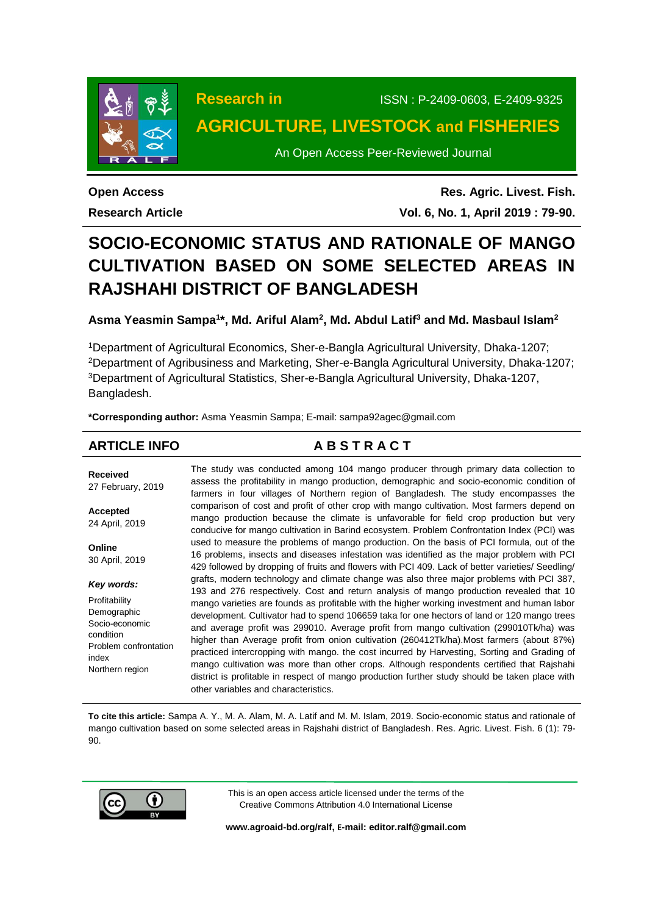

**Research in** ISSN : P-2409-0603, E-2409-9325 **AGRICULTURE, LIVESTOCK and FISHERIES**

An Open Access Peer-Reviewed Journal

**Open Access Research Article**

**Res. Agric. Livest. Fish. Vol. 6, No. 1, April 2019 : 79-90.**

# **SOCIO-ECONOMIC STATUS AND RATIONALE OF MANGO CULTIVATION BASED ON SOME SELECTED AREAS IN RAJSHAHI DISTRICT OF BANGLADESH**

**Asma Yeasmin Sampa<sup>1</sup> \*, Md. Ariful Alam<sup>2</sup> , Md. Abdul Latif<sup>3</sup> and Md. Masbaul Islam<sup>2</sup>**

Department of Agricultural Economics, Sher-e-Bangla Agricultural University, Dhaka-1207; Department of Agribusiness and Marketing, Sher-e-Bangla Agricultural University, Dhaka-1207; Department of Agricultural Statistics, Sher-e-Bangla Agricultural University, Dhaka-1207, Bangladesh.

**\*Corresponding author:** Asma Yeasmin Sampa; E-mail: sampa92agec@gmail.com

# **ARTICLE INFO A B S T R A C T**

**Received** 27 February, 2019 **Accepted** 24 April, 2019 **Online** 30 April, 2019 *Key words:* Profitability Demographic Socio-economic condition Problem confrontation index Northern region The study was conducted among 104 mango producer through primary data collection to assess the profitability in mango production, demographic and socio-economic condition of farmers in four villages of Northern region of Bangladesh. The study encompasses the comparison of cost and profit of other crop with mango cultivation. Most farmers depend on mango production because the climate is unfavorable for field crop production but very conducive for mango cultivation in Barind ecosystem. Problem Confrontation Index (PCI) was used to measure the problems of mango production. On the basis of PCI formula, out of the 16 problems, insects and diseases infestation was identified as the major problem with PCI 429 followed by dropping of fruits and flowers with PCI 409. Lack of better varieties/ Seedling/ grafts, modern technology and climate change was also three major problems with PCI 387, 193 and 276 respectively. Cost and return analysis of mango production revealed that 10 mango varieties are founds as profitable with the higher working investment and human labor development. Cultivator had to spend 106659 taka for one hectors of land or 120 mango trees and average profit was 299010. Average profit from mango cultivation (299010Tk/ha) was higher than Average profit from onion cultivation (260412Tk/ha).Most farmers (about 87%) practiced intercropping with mango. the cost incurred by Harvesting, Sorting and Grading of mango cultivation was more than other crops. Although respondents certified that Rajshahi district is profitable in respect of mango production further study should be taken place with other variables and characteristics.

**To cite this article:** Sampa A. Y., M. A. Alam, M. A. Latif and M. M. Islam, 2019. Socio-economic status and rationale of mango cultivation based on some selected areas in Rajshahi district of Bangladesh. Res. Agric. Livest. Fish. 6 (1): 79- 90.



This is an open access article licensed under the terms of the Creative Commons Attribution 4.0 International License

**[www.agroaid-bd.org/ralf,](http://www.agroaid-bd.org/ralf) E-mail[: editor.ralf@gmail.com](mailto:editor.ralf@gmail.com)**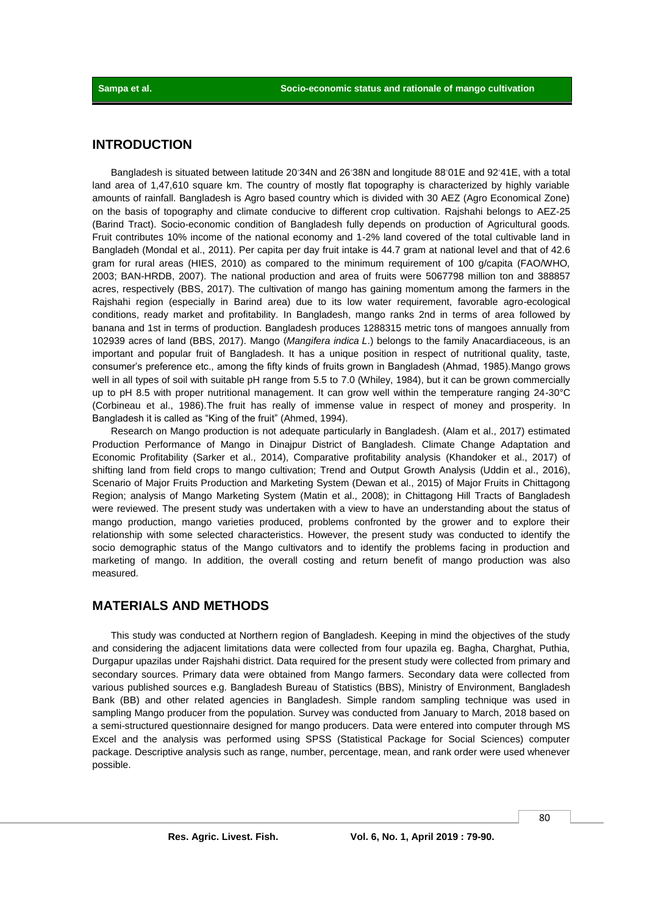# **INTRODUCTION**

Bangladesh is situated between latitude 20◦34N and 26◦38N and longitude 88◦01E and 92◦41E, with a total land area of 1,47,610 square km. The country of mostly flat topography is characterized by highly variable amounts of rainfall. Bangladesh is Agro based country which is divided with 30 AEZ (Agro Economical Zone) on the basis of topography and climate conducive to different crop cultivation. Rajshahi belongs to AEZ-25 (Barind Tract). Socio-economic condition of Bangladesh fully depends on production of Agricultural goods. Fruit contributes 10% income of the national economy and 1-2% land covered of the total cultivable land in Bangladeh (Mondal et al., 2011). Per capita per day fruit intake is 44.7 gram at national level and that of 42.6 gram for rural areas (HIES, 2010) as compared to the minimum requirement of 100 g/capita (FAO/WHO, 2003; BAN-HRDB, 2007). The national production and area of fruits were 5067798 million ton and 388857 acres, respectively (BBS, 2017). The cultivation of mango has gaining momentum among the farmers in the Rajshahi region (especially in Barind area) due to its low water requirement, favorable agro-ecological conditions, ready market and profitability. In Bangladesh, mango ranks 2nd in terms of area followed by banana and 1st in terms of production. Bangladesh produces 1288315 metric tons of mangoes annually from 102939 acres of land (BBS, 2017). Mango (*Mangifera indica L*.) belongs to the family Anacardiaceous, is an important and popular fruit of Bangladesh. It has a unique position in respect of nutritional quality, taste, consumer's preference etc., among the fifty kinds of fruits grown in Bangladesh (Ahmad, 1985).Mango grows well in all types of soil with suitable pH range from 5.5 to 7.0 (Whiley, 1984), but it can be grown commercially up to pH 8.5 with proper nutritional management. It can grow well within the temperature ranging 24-30°C (Corbineau et al., 1986).The fruit has really of immense value in respect of money and prosperity. In Bangladesh it is called as "King of the fruit" (Ahmed, 1994).

Research on Mango production is not adequate particularly in Bangladesh. (Alam et al., 2017) estimated Production Performance of Mango in Dinajpur District of Bangladesh. Climate Change Adaptation and Economic Profitability (Sarker et al., 2014), Comparative profitability analysis (Khandoker et al., 2017) of shifting land from field crops to mango cultivation; Trend and Output Growth Analysis (Uddin et al., 2016), Scenario of Major Fruits Production and Marketing System (Dewan et al., 2015) of Major Fruits in Chittagong Region; analysis of Mango Marketing System (Matin et al., 2008); in Chittagong Hill Tracts of Bangladesh were reviewed. The present study was undertaken with a view to have an understanding about the status of mango production, mango varieties produced, problems confronted by the grower and to explore their relationship with some selected characteristics. However, the present study was conducted to identify the socio demographic status of the Mango cultivators and to identify the problems facing in production and marketing of mango. In addition, the overall costing and return benefit of mango production was also measured.

# **MATERIALS AND METHODS**

This study was conducted at Northern region of Bangladesh. Keeping in mind the objectives of the study and considering the adjacent limitations data were collected from four upazila eg. Bagha, Charghat, Puthia, Durgapur upazilas under Rajshahi district. Data required for the present study were collected from primary and secondary sources. Primary data were obtained from Mango farmers. Secondary data were collected from various published sources e.g. Bangladesh Bureau of Statistics (BBS), Ministry of Environment, Bangladesh Bank (BB) and other related agencies in Bangladesh. Simple random sampling technique was used in sampling Mango producer from the population. Survey was conducted from January to March, 2018 based on a semi-structured questionnaire designed for mango producers. Data were entered into computer through MS Excel and the analysis was performed using SPSS (Statistical Package for Social Sciences) computer package. Descriptive analysis such as range, number, percentage, mean, and rank order were used whenever possible.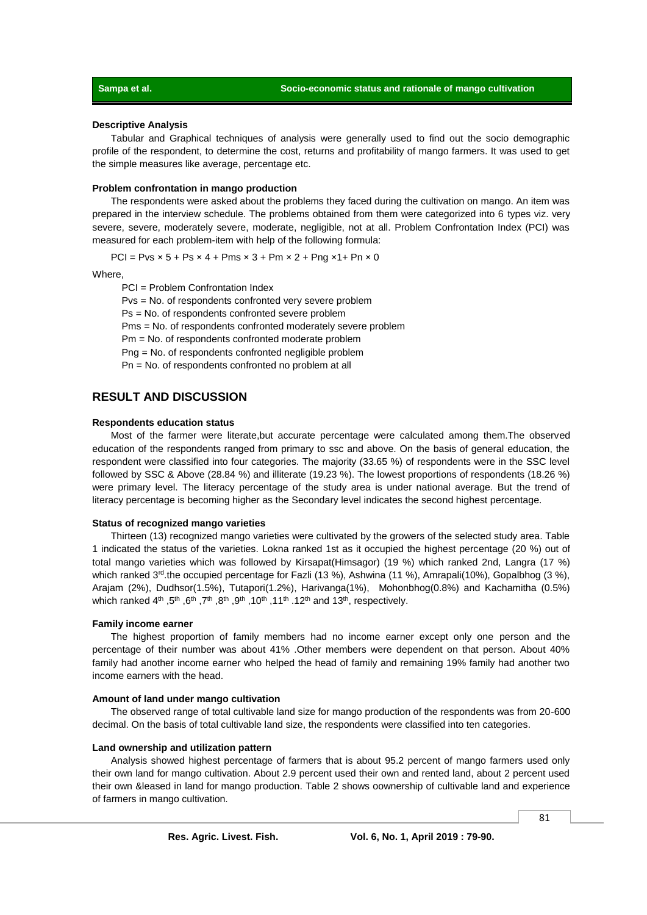#### **Descriptive Analysis**

Tabular and Graphical techniques of analysis were generally used to find out the socio demographic profile of the respondent, to determine the cost, returns and profitability of mango farmers. It was used to get the simple measures like average, percentage etc.

#### **Problem confrontation in mango production**

The respondents were asked about the problems they faced during the cultivation on mango. An item was prepared in the interview schedule. The problems obtained from them were categorized into 6 types viz. very severe, severe, moderately severe, moderate, negligible, not at all. Problem Confrontation Index (PCI) was measured for each problem-item with help of the following formula:

 $PCI = Pvs \times 5 + Ps \times 4 + Pms \times 3 + Pm \times 2 + Png \times 1 + Pn \times 0$ 

Where,

PCI = Problem Confrontation Index

Pvs = No. of respondents confronted very severe problem

Ps = No. of respondents confronted severe problem

Pms = No. of respondents confronted moderately severe problem

Pm = No. of respondents confronted moderate problem

Png = No. of respondents confronted negligible problem

Pn = No. of respondents confronted no problem at all

## **RESULT AND DISCUSSION**

#### **Respondents education status**

Most of the farmer were literate,but accurate percentage were calculated among them.The observed education of the respondents ranged from primary to ssc and above. On the basis of general education, the respondent were classified into four categories. The majority (33.65 %) of respondents were in the SSC level followed by SSC & Above (28.84 %) and illiterate (19.23 %). The lowest proportions of respondents (18.26 %) were primary level. The literacy percentage of the study area is under national average. But the trend of literacy percentage is becoming higher as the Secondary level indicates the second highest percentage.

#### **Status of recognized mango varieties**

Thirteen (13) recognized mango varieties were cultivated by the growers of the selected study area. Table 1 indicated the status of the varieties. Lokna ranked 1st as it occupied the highest percentage (20 %) out of total mango varieties which was followed by Kirsapat(Himsagor) (19 %) which ranked 2nd, Langra (17 %) which ranked 3<sup>rd</sup>.the occupied percentage for Fazli (13 %), Ashwina (11 %), Amrapali(10%), Gopalbhog (3 %), Arajam (2%), Dudhsor(1.5%), Tutapori(1.2%), Harivanga(1%), Mohonbhog(0.8%) and Kachamitha (0.5%) which ranked 4<sup>th</sup> ,5<sup>th</sup> ,6<sup>th</sup> ,7<sup>th</sup> ,8<sup>th</sup> ,9<sup>th</sup> ,11<sup>th</sup> .12<sup>th</sup> and 13<sup>th</sup>, respectively.

#### **Family income earner**

The highest proportion of family members had no income earner except only one person and the percentage of their number was about 41% .Other members were dependent on that person. About 40% family had another income earner who helped the head of family and remaining 19% family had another two income earners with the head.

#### **Amount of land under mango cultivation**

The observed range of total cultivable land size for mango production of the respondents was from 20-600 decimal. On the basis of total cultivable land size, the respondents were classified into ten categories.

### **Land ownership and utilization pattern**

Analysis showed highest percentage of farmers that is about 95.2 percent of mango farmers used only their own land for mango cultivation. About 2.9 percent used their own and rented land, about 2 percent used their own &leased in land for mango production. Table 2 shows oownership of cultivable land and experience of farmers in mango cultivation.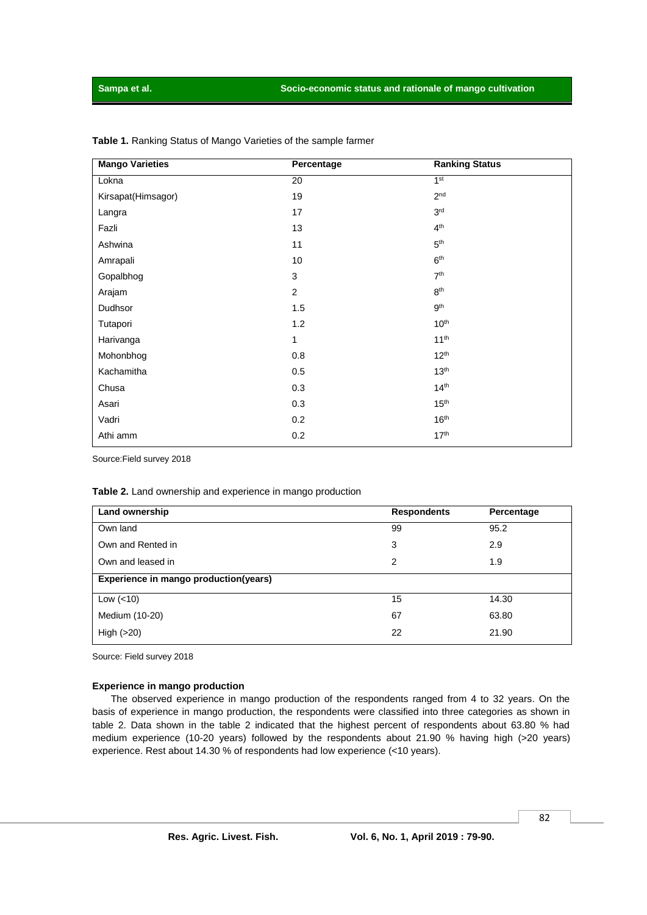| <b>Mango Varieties</b> | Percentage     | <b>Ranking Status</b> |
|------------------------|----------------|-----------------------|
| Lokna                  | 20             | 1 <sup>st</sup>       |
| Kirsapat(Himsagor)     | 19             | 2 <sup>nd</sup>       |
| Langra                 | 17             | 3 <sup>rd</sup>       |
| Fazli                  | 13             | 4 <sup>th</sup>       |
| Ashwina                | 11             | 5 <sup>th</sup>       |
| Amrapali               | 10             | 6 <sup>th</sup>       |
| Gopalbhog              | 3              | 7 <sup>th</sup>       |
| Arajam                 | $\overline{2}$ | 8 <sup>th</sup>       |
| Dudhsor                | 1.5            | 9 <sup>th</sup>       |
| Tutapori               | 1.2            | 10 <sup>th</sup>      |
| Harivanga              | 1              | 11 <sup>th</sup>      |
| Mohonbhog              | 0.8            | 12 <sup>th</sup>      |
| Kachamitha             | 0.5            | 13 <sup>th</sup>      |
| Chusa                  | 0.3            | 14 <sup>th</sup>      |
| Asari                  | 0.3            | 15 <sup>th</sup>      |
| Vadri                  | 0.2            | 16 <sup>th</sup>      |
| Athi amm               | 0.2            | 17 <sup>th</sup>      |

**Table 1.** Ranking Status of Mango Varieties of the sample farmer

Source:Field survey 2018

#### **Table 2.** Land ownership and experience in mango production

| Land ownership                        | <b>Respondents</b> | Percentage |
|---------------------------------------|--------------------|------------|
| Own land                              | 99                 | 95.2       |
| Own and Rented in                     | 3                  | 2.9        |
| Own and leased in                     | 2                  | 1.9        |
| Experience in mango production(years) |                    |            |
| Low $(< 10)$                          | 15                 | 14.30      |
| Medium (10-20)                        | 67                 | 63.80      |
| High $(>20)$                          | 22                 | 21.90      |

Source: Field survey 2018

#### **Experience in mango production**

The observed experience in mango production of the respondents ranged from 4 to 32 years. On the basis of experience in mango production, the respondents were classified into three categories as shown in table 2. Data shown in the table 2 indicated that the highest percent of respondents about 63.80 % had medium experience (10-20 years) followed by the respondents about 21.90 % having high (>20 years) experience. Rest about 14.30 % of respondents had low experience (<10 years).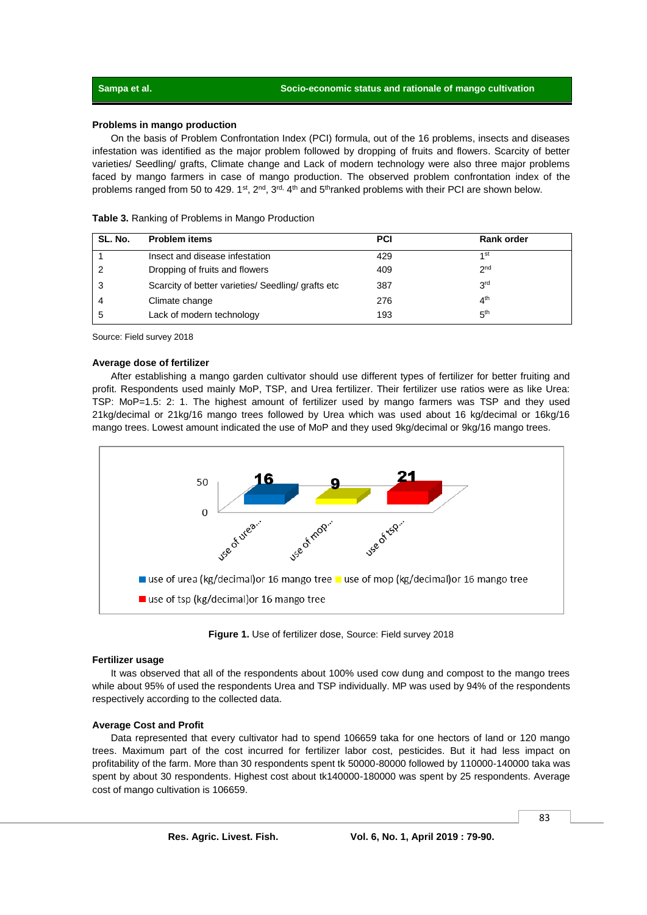#### **Problems in mango production**

On the basis of Problem Confrontation Index (PCI) formula, out of the 16 problems, insects and diseases infestation was identified as the major problem followed by dropping of fruits and flowers. Scarcity of better varieties/ Seedling/ grafts, Climate change and Lack of modern technology were also three major problems faced by mango farmers in case of mango production. The observed problem confrontation index of the problems ranged from 50 to 429. 1st, 2<sup>nd</sup>, 3<sup>rd,</sup> 4<sup>th</sup> and 5<sup>th</sup>ranked problems with their PCI are shown below.

| SL. No. | <b>Problem items</b>                               | <b>PCI</b> | Rank order      |
|---------|----------------------------------------------------|------------|-----------------|
|         | Insect and disease infestation                     | 429        | 1st             |
| 2       | Dropping of fruits and flowers                     | 409        | 2 <sub>nd</sub> |
| 3       | Scarcity of better varieties/ Seedling/ grafts etc | 387        | 3 <sup>rd</sup> |
|         | Climate change                                     | 276        | 4 <sup>th</sup> |
| 5       | Lack of modern technology                          | 193        | 5 <sup>th</sup> |

Source: Field survey 2018

#### **Average dose of fertilizer**

After establishing a mango garden cultivator should use different types of fertilizer for better fruiting and profit. Respondents used mainly MoP, TSP, and Urea fertilizer. Their fertilizer use ratios were as like Urea: TSP: MoP=1.5: 2: 1. The highest amount of fertilizer used by mango farmers was TSP and they used 21kg/decimal or 21kg/16 mango trees followed by Urea which was used about 16 kg/decimal or 16kg/16 mango trees. Lowest amount indicated the use of MoP and they used 9kg/decimal or 9kg/16 mango trees.



**Figure 1.** Use of fertilizer dose, Source: Field survey 2018

#### **Fertilizer usage**

It was observed that all of the respondents about 100% used cow dung and compost to the mango trees while about 95% of used the respondents Urea and TSP individually. MP was used by 94% of the respondents respectively according to the collected data.

#### **Average Cost and Profit**

Data represented that every cultivator had to spend 106659 taka for one hectors of land or 120 mango trees. Maximum part of the cost incurred for fertilizer labor cost, pesticides. But it had less impact on profitability of the farm. More than 30 respondents spent tk 50000-80000 followed by 110000-140000 taka was spent by about 30 respondents. Highest cost about tk140000-180000 was spent by 25 respondents. Average cost of mango cultivation is 106659.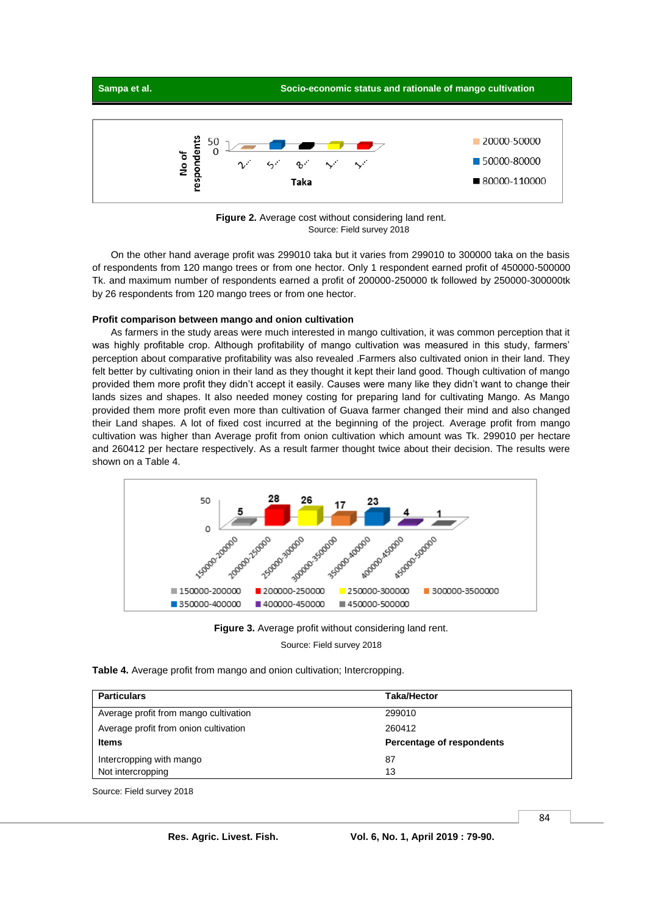

**Figure 2.** Average cost without considering land rent. Source: Field survey 2018

On the other hand average profit was 299010 taka but it varies from 299010 to 300000 taka on the basis of respondents from 120 mango trees or from one hector. Only 1 respondent earned profit of 450000-500000 Tk. and maximum number of respondents earned a profit of 200000-250000 tk followed by 250000-300000tk by 26 respondents from 120 mango trees or from one hector.

#### **Profit comparison between mango and onion cultivation**

As farmers in the study areas were much interested in mango cultivation, it was common perception that it was highly profitable crop. Although profitability of mango cultivation was measured in this study, farmers' perception about comparative profitability was also revealed .Farmers also cultivated onion in their land. They felt better by cultivating onion in their land as they thought it kept their land good. Though cultivation of mango provided them more profit they didn't accept it easily. Causes were many like they didn't want to change their lands sizes and shapes. It also needed money costing for preparing land for cultivating Mango. As Mango provided them more profit even more than cultivation of Guava farmer changed their mind and also changed their Land shapes. A lot of fixed cost incurred at the beginning of the project. Average profit from mango cultivation was higher than Average profit from onion cultivation which amount was Tk. 299010 per hectare and 260412 per hectare respectively. As a result farmer thought twice about their decision. The results were shown on a Table 4.





**Table 4.** Average profit from mango and onion cultivation; Intercropping.

| <b>Particulars</b>                    | <b>Taka/Hector</b>        |
|---------------------------------------|---------------------------|
| Average profit from mango cultivation | 299010                    |
| Average profit from onion cultivation | 260412                    |
| <b>Items</b>                          | Percentage of respondents |
| Intercropping with mango              | 87                        |
| Not intercropping                     | 13                        |

Source: Field survey 2018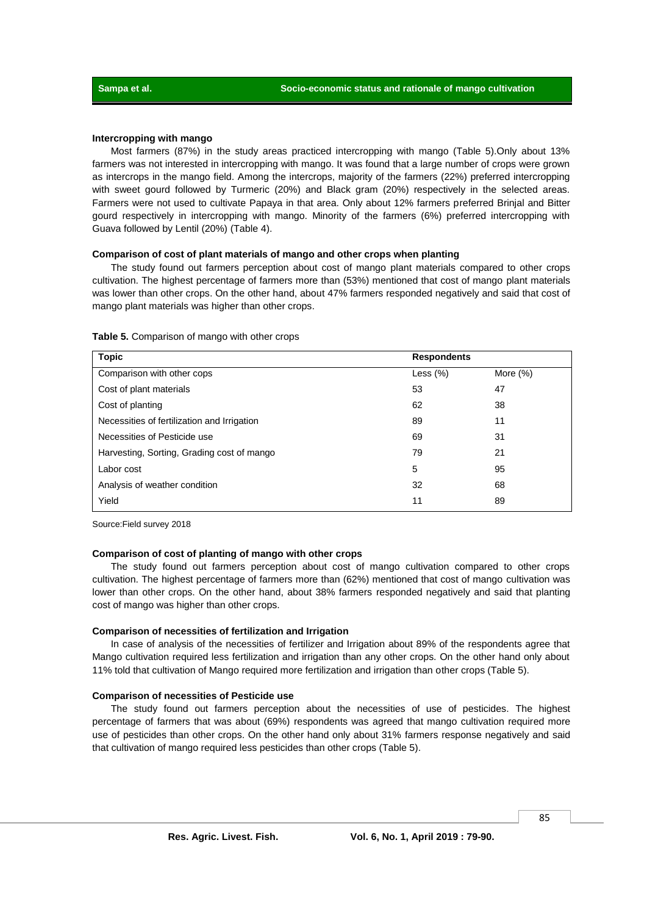#### **Intercropping with mango**

Most farmers (87%) in the study areas practiced intercropping with mango (Table 5).Only about 13% farmers was not interested in intercropping with mango. It was found that a large number of crops were grown as intercrops in the mango field. Among the intercrops, majority of the farmers (22%) preferred intercropping with sweet gourd followed by Turmeric (20%) and Black gram (20%) respectively in the selected areas. Farmers were not used to cultivate Papaya in that area. Only about 12% farmers preferred Brinjal and Bitter gourd respectively in intercropping with mango. Minority of the farmers (6%) preferred intercropping with Guava followed by Lentil (20%) (Table 4).

#### **Comparison of cost of plant materials of mango and other crops when planting**

The study found out farmers perception about cost of mango plant materials compared to other crops cultivation. The highest percentage of farmers more than (53%) mentioned that cost of mango plant materials was lower than other crops. On the other hand, about 47% farmers responded negatively and said that cost of mango plant materials was higher than other crops.

| <b>Topic</b>                                | <b>Respondents</b> |             |
|---------------------------------------------|--------------------|-------------|
| Comparison with other cops                  | Less $(\%)$        | More $(\%)$ |
| Cost of plant materials                     | 53                 | 47          |
| Cost of planting                            | 62                 | 38          |
| Necessities of fertilization and Irrigation | 89                 | 11          |
| Necessities of Pesticide use                | 69                 | 31          |
| Harvesting, Sorting, Grading cost of mango  | 79                 | 21          |
| Labor cost                                  | 5                  | 95          |
| Analysis of weather condition               | 32                 | 68          |
| Yield                                       | 11                 | 89          |

#### **Table 5.** Comparison of mango with other crops

Source:Field survey 2018

#### **Comparison of cost of planting of mango with other crops**

The study found out farmers perception about cost of mango cultivation compared to other crops cultivation. The highest percentage of farmers more than (62%) mentioned that cost of mango cultivation was lower than other crops. On the other hand, about 38% farmers responded negatively and said that planting cost of mango was higher than other crops.

#### **Comparison of necessities of fertilization and Irrigation**

In case of analysis of the necessities of fertilizer and Irrigation about 89% of the respondents agree that Mango cultivation required less fertilization and irrigation than any other crops. On the other hand only about 11% told that cultivation of Mango required more fertilization and irrigation than other crops (Table 5).

#### **Comparison of necessities of Pesticide use**

The study found out farmers perception about the necessities of use of pesticides. The highest percentage of farmers that was about (69%) respondents was agreed that mango cultivation required more use of pesticides than other crops. On the other hand only about 31% farmers response negatively and said that cultivation of mango required less pesticides than other crops (Table 5).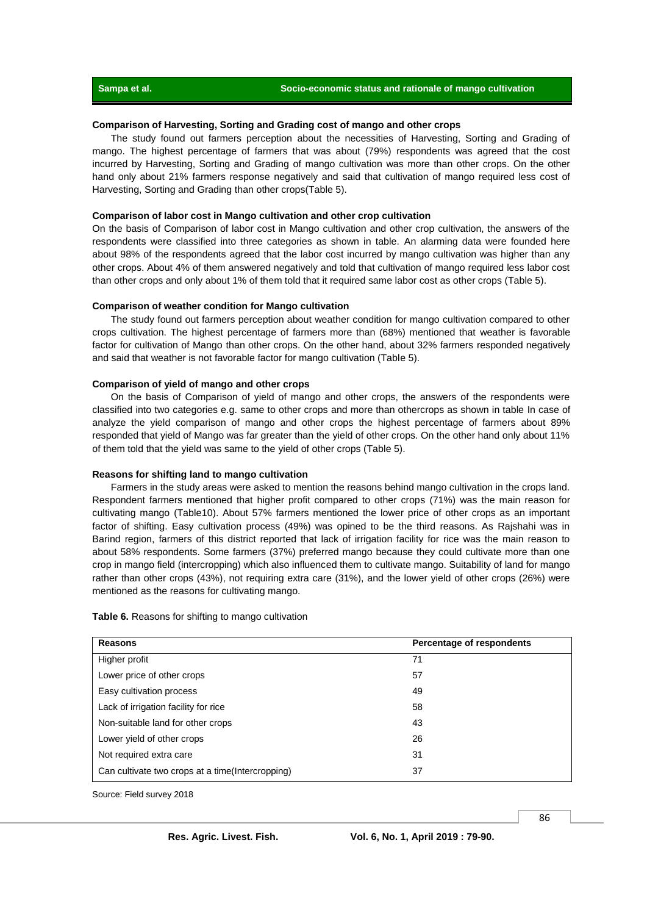### **Sampa et al. Socio-economic status and rationale of mango cultivation**

### **Comparison of Harvesting, Sorting and Grading cost of mango and other crops**

The study found out farmers perception about the necessities of Harvesting, Sorting and Grading of mango. The highest percentage of farmers that was about (79%) respondents was agreed that the cost incurred by Harvesting, Sorting and Grading of mango cultivation was more than other crops. On the other hand only about 21% farmers response negatively and said that cultivation of mango required less cost of Harvesting, Sorting and Grading than other crops(Table 5).

#### **Comparison of labor cost in Mango cultivation and other crop cultivation**

On the basis of Comparison of labor cost in Mango cultivation and other crop cultivation, the answers of the respondents were classified into three categories as shown in table. An alarming data were founded here about 98% of the respondents agreed that the labor cost incurred by mango cultivation was higher than any other crops. About 4% of them answered negatively and told that cultivation of mango required less labor cost than other crops and only about 1% of them told that it required same labor cost as other crops (Table 5).

#### **Comparison of weather condition for Mango cultivation**

The study found out farmers perception about weather condition for mango cultivation compared to other crops cultivation. The highest percentage of farmers more than (68%) mentioned that weather is favorable factor for cultivation of Mango than other crops. On the other hand, about 32% farmers responded negatively and said that weather is not favorable factor for mango cultivation (Table 5).

#### **Comparison of yield of mango and other crops**

On the basis of Comparison of yield of mango and other crops, the answers of the respondents were classified into two categories e.g. same to other crops and more than othercrops as shown in table In case of analyze the yield comparison of mango and other crops the highest percentage of farmers about 89% responded that yield of Mango was far greater than the yield of other crops. On the other hand only about 11% of them told that the yield was same to the yield of other crops (Table 5).

#### **Reasons for shifting land to mango cultivation**

Farmers in the study areas were asked to mention the reasons behind mango cultivation in the crops land. Respondent farmers mentioned that higher profit compared to other crops (71%) was the main reason for cultivating mango (Table10). About 57% farmers mentioned the lower price of other crops as an important factor of shifting. Easy cultivation process (49%) was opined to be the third reasons. As Rajshahi was in Barind region, farmers of this district reported that lack of irrigation facility for rice was the main reason to about 58% respondents. Some farmers (37%) preferred mango because they could cultivate more than one crop in mango field (intercropping) which also influenced them to cultivate mango. Suitability of land for mango rather than other crops (43%), not requiring extra care (31%), and the lower yield of other crops (26%) were mentioned as the reasons for cultivating mango.

| Table 6. Reasons for shifting to mango cultivation |  |  |
|----------------------------------------------------|--|--|
|                                                    |  |  |

| <b>Reasons</b>                                    | Percentage of respondents |
|---------------------------------------------------|---------------------------|
| Higher profit                                     | 71                        |
| Lower price of other crops                        | 57                        |
| Easy cultivation process                          | 49                        |
| Lack of irrigation facility for rice              | 58                        |
| Non-suitable land for other crops                 | 43                        |
| Lower yield of other crops                        | 26                        |
| Not required extra care                           | 31                        |
| Can cultivate two crops at a time (Intercropping) | 37                        |

Source: Field survey 2018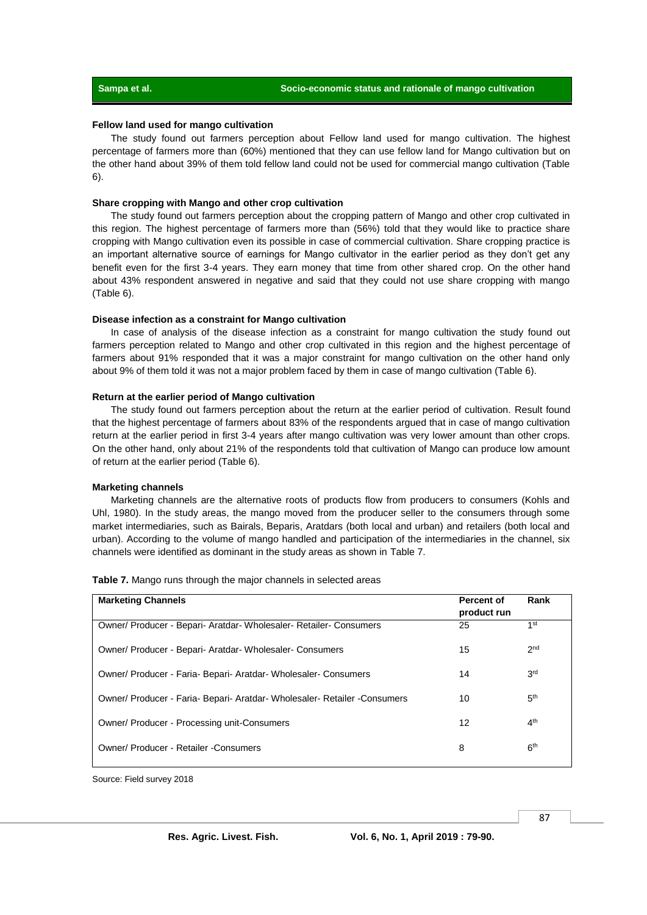#### **Fellow land used for mango cultivation**

The study found out farmers perception about Fellow land used for mango cultivation. The highest percentage of farmers more than (60%) mentioned that they can use fellow land for Mango cultivation but on the other hand about 39% of them told fellow land could not be used for commercial mango cultivation (Table 6).

#### **Share cropping with Mango and other crop cultivation**

The study found out farmers perception about the cropping pattern of Mango and other crop cultivated in this region. The highest percentage of farmers more than (56%) told that they would like to practice share cropping with Mango cultivation even its possible in case of commercial cultivation. Share cropping practice is an important alternative source of earnings for Mango cultivator in the earlier period as they don't get any benefit even for the first 3-4 years. They earn money that time from other shared crop. On the other hand about 43% respondent answered in negative and said that they could not use share cropping with mango (Table 6).

#### **Disease infection as a constraint for Mango cultivation**

In case of analysis of the disease infection as a constraint for mango cultivation the study found out farmers perception related to Mango and other crop cultivated in this region and the highest percentage of farmers about 91% responded that it was a major constraint for mango cultivation on the other hand only about 9% of them told it was not a major problem faced by them in case of mango cultivation (Table 6).

#### **Return at the earlier period of Mango cultivation**

The study found out farmers perception about the return at the earlier period of cultivation. Result found that the highest percentage of farmers about 83% of the respondents argued that in case of mango cultivation return at the earlier period in first 3-4 years after mango cultivation was very lower amount than other crops. On the other hand, only about 21% of the respondents told that cultivation of Mango can produce low amount of return at the earlier period (Table 6).

#### **Marketing channels**

Marketing channels are the alternative roots of products flow from producers to consumers (Kohls and Uhl, 1980). In the study areas, the mango moved from the producer seller to the consumers through some market intermediaries, such as Bairals, Beparis, Aratdars (both local and urban) and retailers (both local and urban). According to the volume of mango handled and participation of the intermediaries in the channel, six channels were identified as dominant in the study areas as shown in Table 7.

| <b>Marketing Channels</b>                                                  | Percent of<br>product run | Rank            |
|----------------------------------------------------------------------------|---------------------------|-----------------|
| Owner/ Producer - Bepari- Aratdar- Wholesaler- Retailer- Consumers         | 25                        | 1 <sup>st</sup> |
| Owner/ Producer - Bepari- Aratdar- Wholesaler- Consumers                   | 15                        | 2 <sub>nd</sub> |
| Owner/ Producer - Faria- Bepari- Aratdar- Wholesaler- Consumers            | 14                        | 3 <sup>rd</sup> |
| Owner/ Producer - Faria- Bepari- Aratdar- Wholesaler- Retailer - Consumers | 10                        | 5 <sup>th</sup> |
| Owner/ Producer - Processing unit-Consumers                                | 12                        | 4 <sup>th</sup> |
| <b>Owner/ Producer - Retailer -Consumers</b>                               | 8                         | 6 <sup>th</sup> |

**Table 7.** Mango runs through the major channels in selected areas

Source: Field survey 2018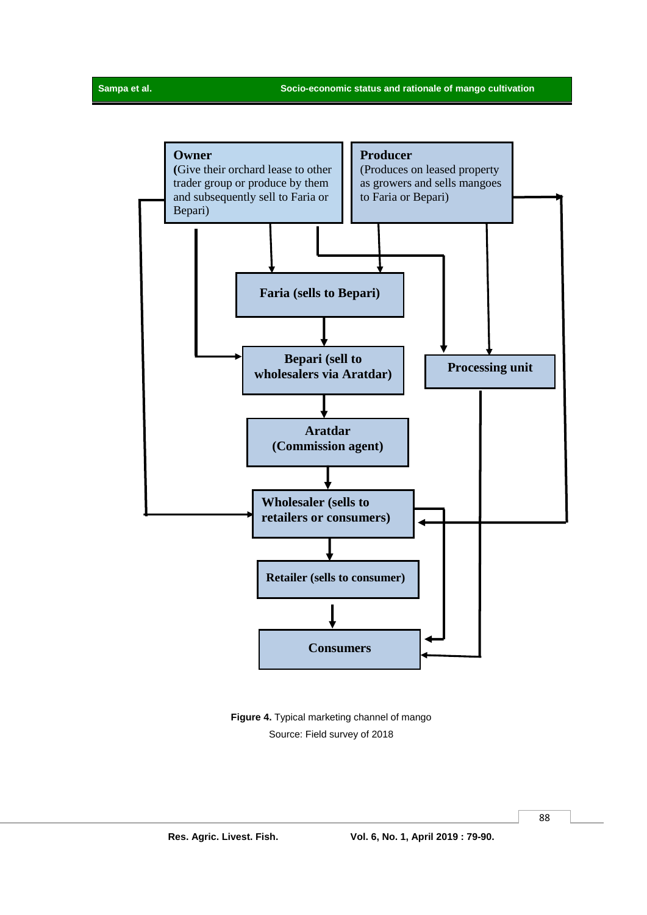

**Figure 4.** Typical marketing channel of mango Source: Field survey of 2018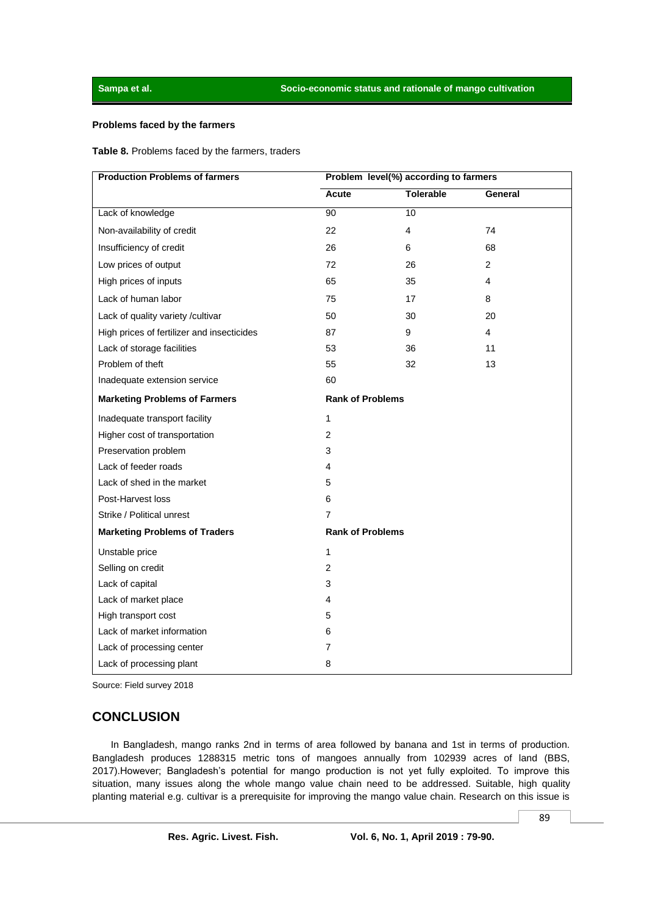#### **Problems faced by the farmers**

#### **Table 8.** Problems faced by the farmers, traders

| <b>Production Problems of farmers</b>      | Problem level(%) according to farmers |                  |                |  |
|--------------------------------------------|---------------------------------------|------------------|----------------|--|
|                                            | Acute                                 | <b>Tolerable</b> | General        |  |
| Lack of knowledge                          | 90                                    | $\overline{10}$  |                |  |
| Non-availability of credit                 | 22                                    | 4                | 74             |  |
| Insufficiency of credit                    | 26                                    | 6                | 68             |  |
| Low prices of output                       | 72                                    | 26               | $\overline{2}$ |  |
| High prices of inputs                      | 65                                    | 35               | 4              |  |
| Lack of human labor                        | 75                                    | 17               | 8              |  |
| Lack of quality variety /cultivar          | 50                                    | 30               | 20             |  |
| High prices of fertilizer and insecticides | 87                                    | 9                | 4              |  |
| Lack of storage facilities                 | 53                                    | 36               | 11             |  |
| Problem of theft                           | 55                                    | 32               | 13             |  |
| Inadequate extension service               | 60                                    |                  |                |  |
| <b>Marketing Problems of Farmers</b>       | <b>Rank of Problems</b>               |                  |                |  |
| Inadequate transport facility              | 1                                     |                  |                |  |
| Higher cost of transportation              | 2                                     |                  |                |  |
| Preservation problem                       | 3                                     |                  |                |  |
| Lack of feeder roads                       | 4                                     |                  |                |  |
| Lack of shed in the market                 | 5                                     |                  |                |  |
| Post-Harvest loss                          | 6                                     |                  |                |  |
| Strike / Political unrest                  | 7                                     |                  |                |  |
| <b>Marketing Problems of Traders</b>       | <b>Rank of Problems</b>               |                  |                |  |
| Unstable price                             | 1                                     |                  |                |  |
| Selling on credit                          | $\overline{2}$                        |                  |                |  |
| Lack of capital                            | 3                                     |                  |                |  |
| Lack of market place                       | 4                                     |                  |                |  |
| High transport cost                        | 5                                     |                  |                |  |
| Lack of market information                 | 6                                     |                  |                |  |
| Lack of processing center                  | 7                                     |                  |                |  |
| Lack of processing plant                   | 8                                     |                  |                |  |

Source: Field survey 2018

# **CONCLUSION**

In Bangladesh, mango ranks 2nd in terms of area followed by banana and 1st in terms of production. Bangladesh produces 1288315 metric tons of mangoes annually from 102939 acres of land (BBS, 2017).However; Bangladesh's potential for mango production is not yet fully exploited. To improve this situation, many issues along the whole mango value chain need to be addressed. Suitable, high quality planting material e.g. cultivar is a prerequisite for improving the mango value chain. Research on this issue is